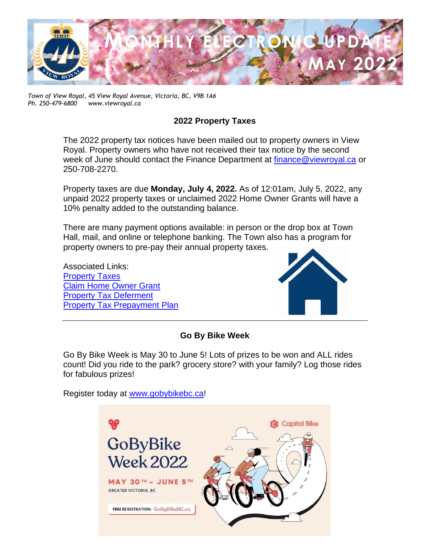

*Town of View Royal, 45 View Royal Avenue, Victoria, BC, V9B 1A6 Ph. 250-479-6800 www.viewroyal.ca*

# **2022 Property Taxes**

The 2022 property tax notices have been mailed out to property owners in View Royal. Property owners who have not received their tax notice by the second week of June should contact the Finance Department at [finance@viewroyal.ca](mailto:finance@viewroyal.ca) or 250-708-2270.

Property taxes are due **Monday, July 4, 2022.** As of 12:01am, July 5, 2022, any unpaid 2022 property taxes or unclaimed 2022 Home Owner Grants will have a 10% penalty added to the outstanding balance.

There are many payment options available: in person or the drop box at Town Hall, mail, and online or telephone banking. The Town also has a program for property owners to pre-pay their annual property taxes.

Associated Links: [Property Taxes](https://www.viewroyal.ca/EN/main/municipal/property-taxes.html) [Claim Home Owner Grant](https://www2.gov.bc.ca/gov/content/taxes/property-taxes/annual-property-tax/home-owner-grant) [Property Tax Deferment](https://www.viewroyal.ca/EN/main/municipal/property-taxes/property-tax-deferment.html) [Property Tax Prepayment Plan](https://www.viewroyal.ca/EN/main/municipal/property-taxes/prepayment-plan.html)



# **Go By Bike Week**

Go By Bike Week is May 30 to June 5! Lots of prizes to be won and ALL rides count! Did you ride to the park? grocery store? with your family? Log those rides for fabulous prizes!

Register today at [www.gobybikebc.ca!](http://www.gobybikebc.ca/)

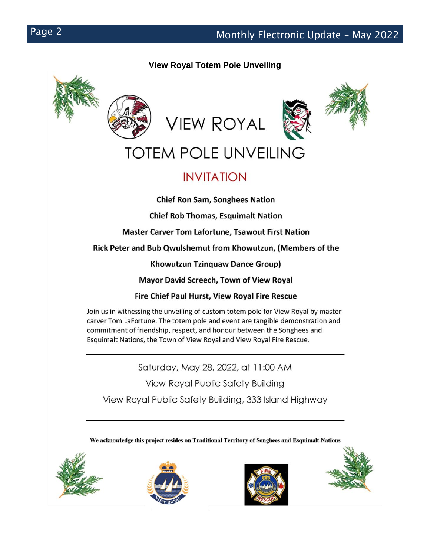# **View Royal Totem Pole Unveiling**









# **TOTEM POLE UNVEILING**

# **INVITATION**

**Chief Ron Sam, Songhees Nation** 

**Chief Rob Thomas, Esquimalt Nation** 

**Master Carver Tom Lafortune, Tsawout First Nation** 

Rick Peter and Bub Qwulshemut from Khowutzun, (Members of the

**Khowutzun Tzinquaw Dance Group)** 

**Mayor David Screech, Town of View Royal** 

Fire Chief Paul Hurst, View Royal Fire Rescue

Join us in witnessing the unveiling of custom totem pole for View Royal by master carver Tom LaFortune. The totem pole and event are tangible demonstration and commitment of friendship, respect, and honour between the Songhees and Esquimalt Nations, the Town of View Royal and View Royal Fire Rescue.

Saturday, May 28, 2022, at 11:00 AM

View Royal Public Safety Building

View Royal Public Safety Building, 333 Island Highway

We acknowledge this project resides on Traditional Territory of Songhees and Esquimalt Nations







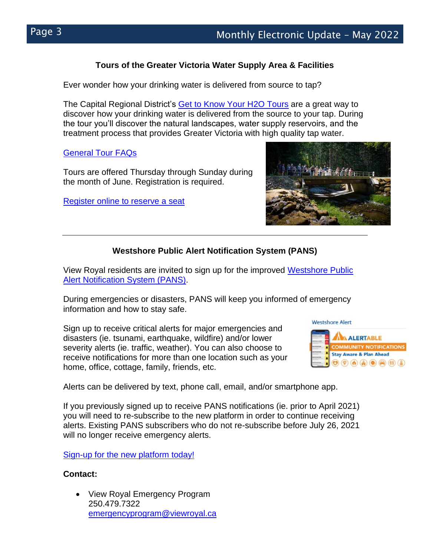## **Tours of the Greater Victoria Water Supply Area & Facilities**

Ever wonder how your drinking water is delivered from source to tap?

The Capital Regional District's [Get to Know Your H2O Tours](https://www.crd.bc.ca/service/public-tours/watershed-tours) are a great way to discover how your drinking water is delivered from the source to your tap. During the tour you'll discover the natural landscapes, water supply reservoirs, and the treatment process that provides Greater Victoria with high quality tap water.

#### [General Tour FAQs](https://www.crd.bc.ca/docs/default-source/water-pdf/frequentlyaskedquestionsregardingwatershedtours2019.pdf?sfvrsn=8c8cc2ca_2)

Tours are offered Thursday through Sunday during the month of June. Registration is required.

[Register online to reserve a seat](https://www.crd.bc.ca/about/events)



# **Westshore Public Alert Notification System (PANS)**

View Royal residents are invited to sign up for the improved [Westshore Public](https://www.viewroyal.ca/EN/main/emergency/emergency-preparedness/westshore-public-alert-notification-system-pans.html)  [Alert Notification System \(PANS\).](https://www.viewroyal.ca/EN/main/emergency/emergency-preparedness/westshore-public-alert-notification-system-pans.html)

During emergencies or disasters, PANS will keep you informed of emergency information and how to stay safe.

Sign up to receive critical alerts for major emergencies and disasters (ie. tsunami, earthquake, wildfire) and/or lower severity alerts (ie. traffic, weather). You can also choose to receive notifications for more than one location such as your home, office, cottage, family, friends, etc.





Alerts can be delivered by text, phone call, email, and/or smartphone app.

If you previously signed up to receive PANS notifications (ie. prior to April 2021) you will need to re-subscribe to the new platform in order to continue receiving alerts. Existing PANS subscribers who do not re-subscribe before July 26, 2021 will no longer receive emergency alerts.

[Sign-up for the new platform today!](https://alertable.ca/signup/index.html?site=BC7B#alertMessage)

#### **Contact:**

• View Royal Emergency Program 250.479.7322 [emergencyprogram@viewroyal.ca](mailto:emergencyprogram@viewroyal.ca)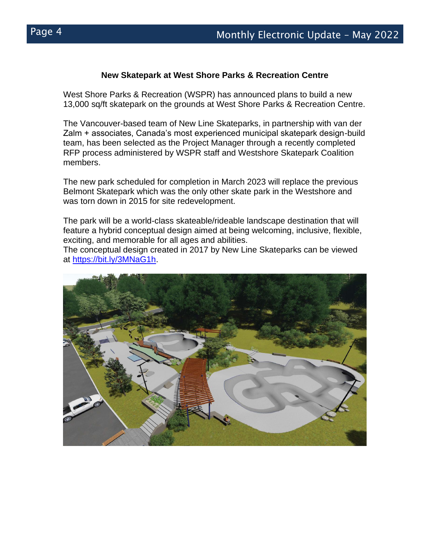#### **New Skatepark at West Shore Parks & Recreation Centre**

West Shore Parks & Recreation (WSPR) has announced plans to build a new 13,000 sq/ft skatepark on the grounds at West Shore Parks & Recreation Centre.

The Vancouver-based team of New Line Skateparks, in partnership with van der Zalm + associates, Canada's most experienced municipal skatepark design-build team, has been selected as the Project Manager through a recently completed RFP process administered by WSPR staff and Westshore Skatepark Coalition members.

The new park scheduled for completion in March 2023 will replace the previous Belmont Skatepark which was the only other skate park in the Westshore and was torn down in 2015 for site redevelopment.

The park will be a world-class skateable/rideable landscape destination that will feature a hybrid conceptual design aimed at being welcoming, inclusive, flexible, exciting, and memorable for all ages and abilities.

The conceptual design created in 2017 by New Line Skateparks can be viewed at [https://bit.ly/3MNaG1h.](https://bit.ly/3MNaG1h)